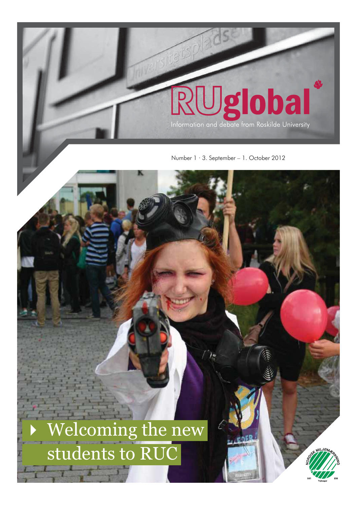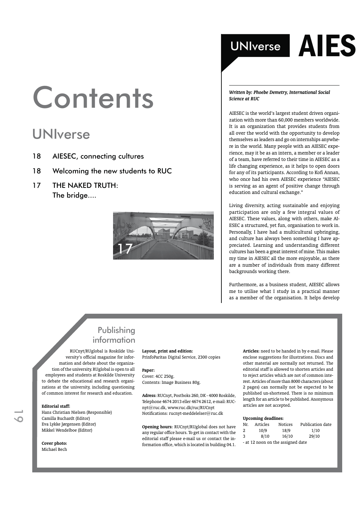## **Contents**

## UNIverse

- 18 AIESEC, connecting cultures
- 18 Welcoming the new students to RUC
- 17 THE NAKED TRUTH: The bridge....



## UNIverse  $\overline{A}$  ES

*Written by: Phoebe Demetry, International Social Science at RUC*

AIESEC is the world's largest student driven organization with more than 60,000 members worldwide. It is an organization that provides students from all over the world with the opportunity to develop themselves as leaders and go on internships anywhere in the world. Many people with an AIESEC experience, may it be as an intern, a member or a leader of a team, have referred to their time in AIESEC as a life changing experience, as it helps to open doors for any of its participants. According to Kofi Annan, who once had his own AIESEC experience "AIESEC is serving as an agent of positive change through education and cultural exchange."

Living diversity, acting sustainable and enjoying participation are only a few integral values of AIESEC. These values, along with others, make AI-ESEC a structured, yet fun, organisation to work in. Personally, I have had a multicultural upbringing, and culture has always been something I have appreciated. Learning and understanding different cultures has been a great interest of mine. This makes my time in AIESEC all the more enjoyable, as there are a number of individuals from many different backgrounds working there.

Furthermore, as a business student, AIESEC allows me to utilise what I study in a practical manner as a member of the organisation. It helps develop

### Publishing information

RUCnyt/RUglobal is Roskilde University's official magazine for information and debate about the organization of the university. RUglobal is open to all employees and students at Roskilde University to debate the educational and research organizations at the university, including questioning of common interest for research and education.

#### **Editorial staff:**

Hans Christian Nielsen (Responsible) Camilla Buchardt (Editor) Eva Lykke Jørgensen (Editor) Mikkel Wendelboe (Editor)

**Cover photo:** Michael Bech

#### **Layout, print and edition:**

PrinfoParitas Digital Service, 2300 copies

#### **Paper:**

Cover: 4CC 250g. Contents: Image Business 80g.

**Adress:** RUCnyt, Postboks 260, DK - 4000 Roskilde, Telephone 4674 2013 eller 4674 2612, e-mail: RUCnyt@ruc.dk, www.ruc.dk/ruc/RUCnyt Notifications: rucnyt-meddelelser@ruc.dk

**Opening hours:** RUCnyt/RUglobal does not have any regular office hours. To get in contact with the editorial staff please e-mail us or contact the information office, which is located in building 04.1.

**Articles:** need to be handed in by e-mail. Please enclose suggestions for illustrations. Discs and other material are normally not returned. The editorial staff is allowed to shorten articles and to reject articles which are not of common interest. Articles of more than 8000 characters (about 2 pages) can normally not be expected to be published un-shortened. There is no minimum length for an article to be published. Anonymous articles are not accepted.

#### **Upcoming deadlines:**

| Nr.                               | Articles | <b>Notices</b> | Publication date |
|-----------------------------------|----------|----------------|------------------|
| -2                                | 10/9     | 18/9           | 1/10             |
| -3                                | 8/10     | 16/10          | 29/10            |
| - at 12 noon on the assigned date |          |                |                  |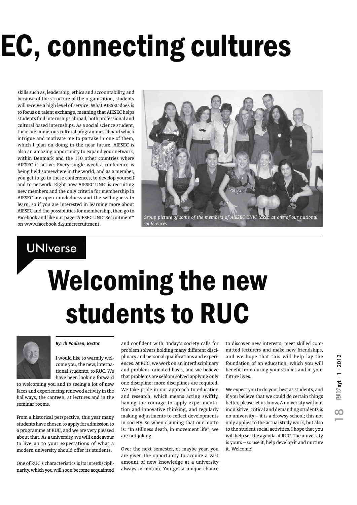# EC, connecting cultures

skills such as, leadership, ethics and accountability, and because of the structure of the organisation, students will receive a high level of service. What AIESEC does is to focus on talent exchange, meaning that AIESEC helps students find internships abroad, both professional and cultural based internships. As a social science student, there are numerous cultural programmes aboard which intrigue and motivate me to partake in one of them, which I plan on doing in the near future. AIESEC is also an amazing opportunity to expand your network, within Denmark and the 110 other countries where AIESEC is active. Every single week a conference is being held somewhere in the world, and as a member, you get to go to these conferences, to develop yourself and to network. Right now AIESEC UNIC is recruiting new members and the only criteria for membership in AIESEC are open mindedness and the willingness to learn, so if you are interested in learning more about AIESEC and the possibilities for membership, then go to Facebook and like our page "AIESEC UNIC Recruitment" on www.facebook.dk/unicrecruitment.



### UNIverse

# Welcoming the new students to RUC



### *By: Ib Poulsen, Rector*

I would like to warmly welcome you, the new, international students, to RUC. We have been looking forward

to welcoming you and to seeing a lot of new faces and experiencing renewed activity in the hallways, the canteen, at lectures and in the seminar rooms.

From a historical perspective, this year many students have chosen to apply for admission to a programme at RUC, and we are very pleased about that. As a university, we will endeavour to live up to your expectations of what a modern university should offer its students.

One of RUC's characteristics is its interdisciplinarity, which you will soon become acquainted and confident with. Today's society calls for problem solvers holding many different disciplinary and personal qualifications and experiences. At RUC, we work on an interdisciplinary and problem- oriented basis, and we believe that problems are seldom solved applying only one discipline; more disciplines are required. We take pride in our approach to education and research, which means acting swiftly, having the courage to apply experimentation and innovative thinking, and regularly making adjustments to reflect developments in society. So when claiming that our motto is: "In stillness death, in movement life", we are not joking.

Over the next semester, or maybe year, you are given the opportunity to acquire a vast amount of new knowledge at a university always in motion. You get a unique chance

to discover new interests, meet skilled committed lecturers and make new friendships, and we hope that this will help lay the foundation of an education, which you will benefit from during your studies and in your future lives.

We expect you to do your best as students, and if you believe that we could do certain things better, please let us know. A university without inquisitive, critical and demanding students is no university – it is a drowsy school; this not only applies to the actual study work, but also to the student social activities. I hope that you will help set the agenda at RUC. The university is yours – so use it, help develop it and nurture it. Welcome!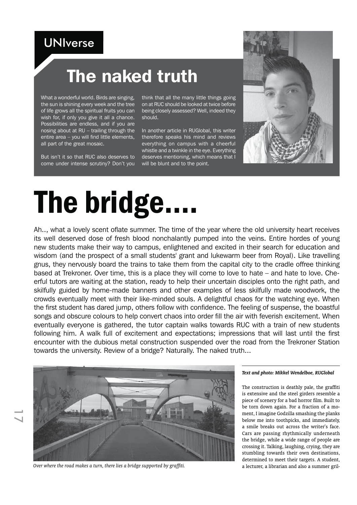## **UNIverse**

## The naked truth

What a wonderful world. Birds are singing, the sun is shining every week and the tree of life grows all the spiritual fruits you can wish for, if only you give it all a chance. Possibilities are endless, and if you are nosing about at RU – trailing through the entire area – you will find little elements, all part of the great mosaic.

But isn't it so that RUC also deserves to come under intense scrutiny? Don't you think that all the many little things going on at RUC should be looked at twice before being closely assessed? Well, indeed they should.

In another article in RUGlobal, this writer therefore speaks his mind and reviews everything on campus with a cheerful whistle and a twinkle in the eye. Everything deserves mentioning, which means that I will be blunt and to the point.



## The bridge.

Ah.., what a lovely scent oflate summer. The time of the year where the old university heart receives its well deserved dose of fresh blood nonchalantly pumped into the veins. Entire hordes of young new students make their way to campus, enlightened and excited in their search for education and wisdom (and the prospect of a small students' grant and lukewarm beer from Royal). Like travelling gnus, they nervously board the trains to take them from the capital city to the cradle offree thinking based at Trekroner. Over time, this is a place they will come to love to hate – and hate to love. Cheerful tutors are waiting at the station, ready to help their uncertain disciples onto the right path, and skilfully guided by home-made banners and other examples of less skilfully made woodwork, the crowds eventually meet with their like-minded souls. A delightful chaos for the watching eye. When the first student has dared jump, others follow with confidence. The feeling of suspense, the boastful songs and obscure colours to help convert chaos into order fill the air with feverish excitement. When eventually everyone is gathered, the tutor captain walks towards RUC with a train of new students following him. A walk full of excitement and expectations; impressions that will last until the first encounter with the dubious metal construction suspended over the road from the Trekroner Station towards the university. Review of a bridge? Naturally. The naked truth...



*Over where the road makes a turn, there lies a bridge supported by graffiti.* **a** lecturer, a librarian and also a summer gril-

#### *Text and photo: Mikkel Wendelboe, RUGlobal*

The construction is deathly pale, the graffiti is extensive and the steel girders resemble a piece of scenery for a bad horror film. Built to be torn down again. For a fraction of a moment, I imagine Godzilla smashing the planks below me into toothpicks, and immediately, a smile breaks out across the writer's face. Cars are passing rhythmically underneath the bridge, while a wide range of people are crossing it. Talking, laughing, crying, they are stumbling towards their own destinations, determined to meet their targets. A student,